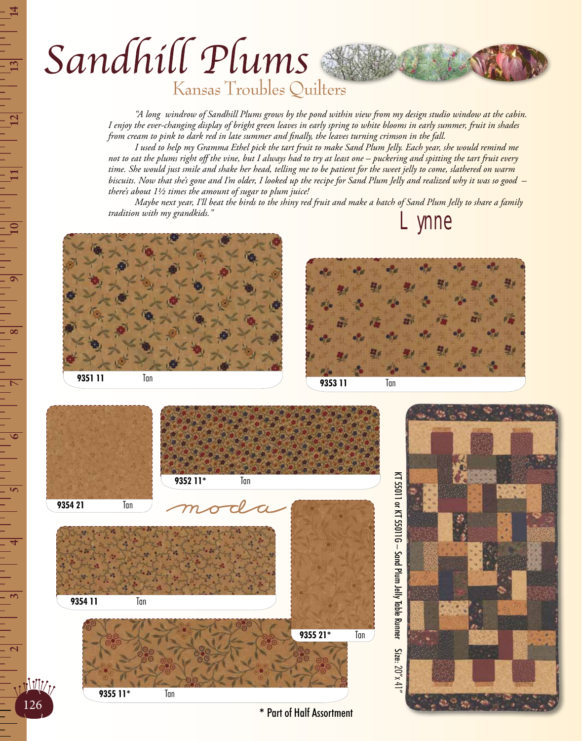## Sandhill Plums

Kansas Troubles Quilters

 *"A long windrow of Sandhill Plums grows by the pond within view from my design studio window at the cabin. I enjoy the ever-changing display of bright green leaves in early spring to white blooms in early summer, fruit in shades from cream to pink to dark red in late summer and finally, the leaves turning crimson in the fall.* 

 *I used to help my Gramma Ethel pick the tart fruit to make Sand Plum Jelly. Each year, she would remind me not to eat the plums right off the vine, but I always had to try at least one – puckering and spitting the tart fruit every time. She would just smile and shake her head, telling me to be patient for the sweet jelly to come, slathered on warm biscuits. Now that she's gone and I'm older, I looked up the recipe for Sand Plum Jelly and realized why it was so good – there's about 1½ times the amount of sugar to plum juice!* 

 *Maybe next year, I'll beat the birds to the shiny red fruit and make a batch of Sand Plum Jelly to share a family tradition with my grandkids."* Lynne







126

- - - - - - - -<br>-

KT 55011 or KT 55011G - Sand Plum Jelly Table Runner KT 55011 or KT 55011G – Sand Plum Jelly Table Runner Size: Size:  $20''x$  4



**\*** Part of Half Assortment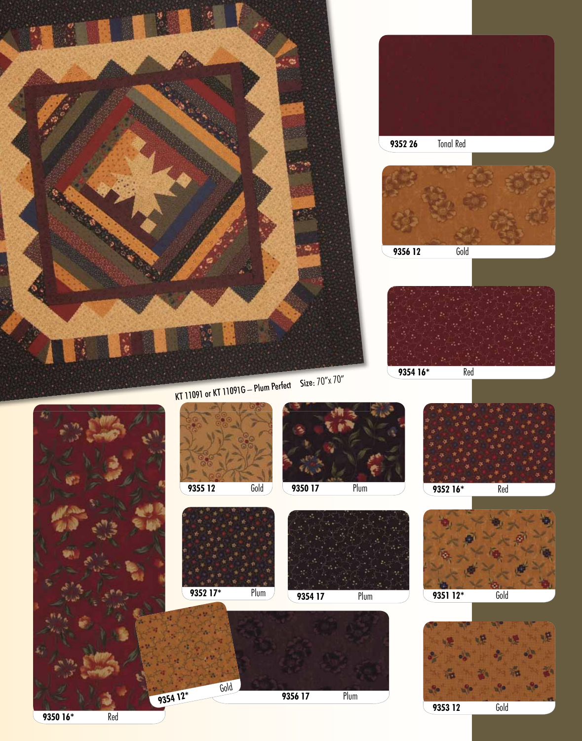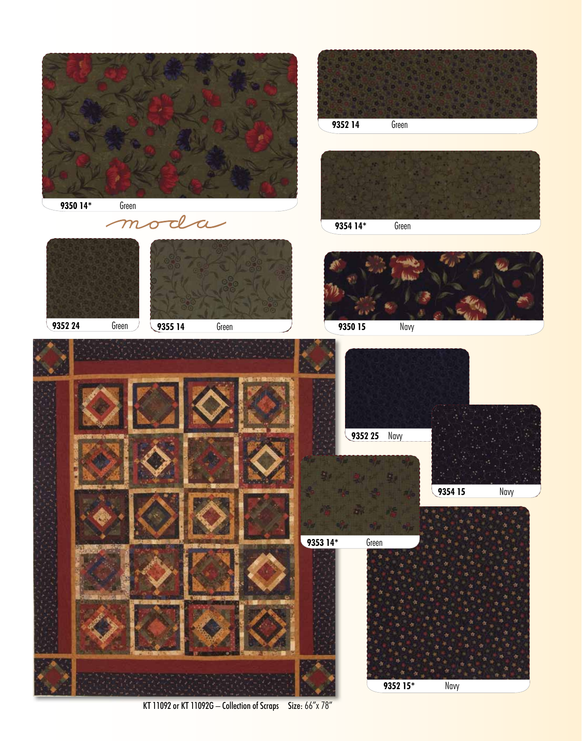

KT 11092 or KT 11092G - Collection of Scraps Size: 66"x 78"